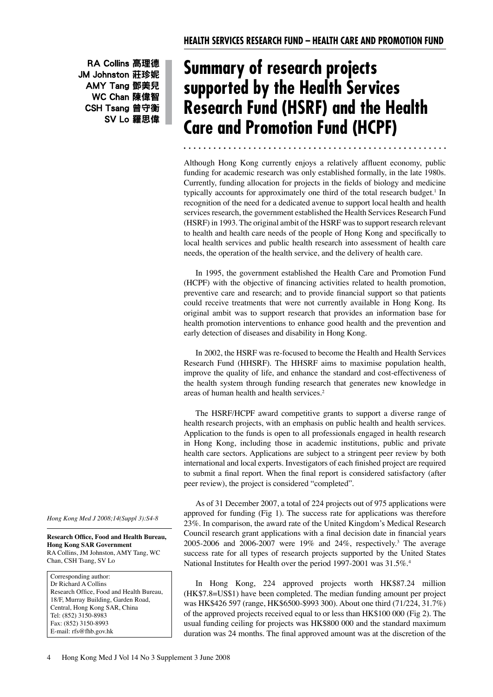RA Collins 高理德 JM Johnston 莊珍妮 AMY Tang 鄧美兒 WC Chan 陳偉智 CSH Tsang 曾守衡 SV Lo 羅思偉

# **Summary of research projects supported by the Health Services Research Fund (HSRF) and the Health Care and Promotion Fund (HCPF)**

 Although Hong Kong currently enjoys a relatively affluent economy, public funding for academic research was only established formally, in the late 1980s. Currently, funding allocation for projects in the fields of biology and medicine typically accounts for approximately one third of the total research budget.<sup>1</sup> In recognition of the need for a dedicated avenue to support local health and health services research, the government established the Health Services Research Fund (HSRF) in 1993. The original ambit of the HSRF wasto support research relevant to health and health care needs of the people of Hong Kong and specifically to local health services and public health research into assessment of health care needs, the operation of the health service, and the delivery of health care.

 (HCPF) with the objective of financing activities related to health promotion, preventive care and research; and to provide financial support so that patients could receive treatments that were not currently available in Hong Kong. Its original ambit was to support research that provides an information base for health promotion interventions to enhance good health and the prevention and early detection of diseases and disability in Hong Kong. In 1995, the government established the Health Care and Promotion Fund

 Research Fund (HHSRF). The HHSRF aims to maximise population health, improve the quality of life, and enhance the standard and cost-effectiveness of the health system through funding research that generates new knowledge in areas of human health and health services.2 In 2002, the HSRF was re-focused to become the Health and Health Services

 health research projects, with an emphasis on public health and health services. Application to the funds is open to all professionals engaged in health research in Hong Kong, including those in academic institutions, public and private health care sectors. Applications are subject to a stringent peer review by both international and local experts. Investigators of each finished project are required to submit a final report. When the final report is considered satisfactory (after peer review), the project is considered "completed". The HSRF/HCPF award competitive grants to support a diverse range of

 approved for funding (Fig 1). The success rate for applications was therefore 23%. In comparison, the award rate of the United Kingdom's Medical Research Council research grant applications with a final decision date in financial years 2005-2006 and 2006-2007 were 19% and 24%, respectively.<sup>3</sup> The average success rate for all types of research projects supported by the United States National Institutes for Health over the period 1997-2001 was 31.5%.<sup>4</sup> As of 31 December 2007, a total of 224 projects out of 975 applications were

 (HK\$7.8=US\$1) have been completed. The median funding amount per project was HK\$426 597 (range, HK\$6500-\$993 300). About one third (71/224, 31.7%) of the approved projects received equal to or less than HK\$100 000 (Fig 2). The usual funding ceiling for projects was HK\$800 000 and the standard maximum duration was 24 months. The final approved amount was at the discretion of the In Hong Kong, 224 approved projects worth HK\$87.24 million

*Hong Kong Med J 2008;14(Suppl 3):S4-8* 

**Research Office, Food and Health Bureau, Hong Kong SAR Government** RA Collins, JM Johnston, AMY Tang, WC Chan, CSH Tsang, SV Lo

Corresponding author: Dr Richard A Collins Research Office, Food and Health Bureau, 18/F, Murray Building, Garden Road, Central, Hong Kong SAR, China Tel: (852) 3150-8983 Fax: (852) 3150-8993 E-mail: rfs@fhb.gov.hk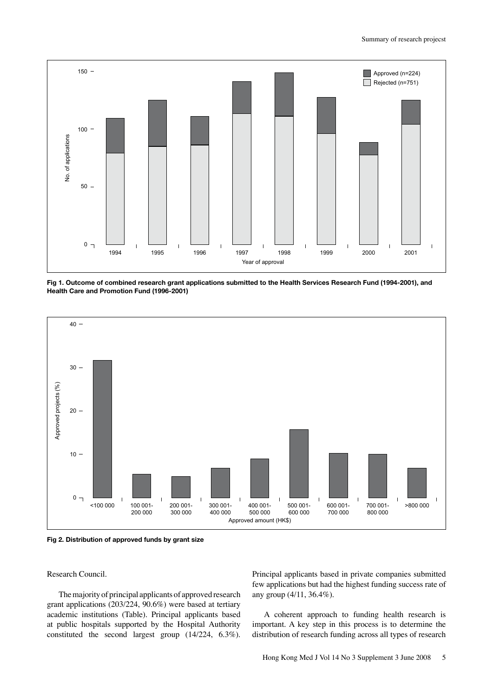

**Fig 1. Outcome of combined research grant applications submitted to the Health Services Research Fund (1994-2001), and Health Care and Promotion Fund (1996-2001)** 



**Fig 2. Distribution of approved funds by grant size** 

Research Council.

 grant applications (203/224, 90.6%) were based at tertiary academic institutions (Table). Principal applicants based at public hospitals supported by the Hospital Authority constituted the second largest group (14/224, 6.3%). The majority of principal applicants of approved research

 Principal applicants based in private companies submitted few applications but had the highest funding success rate of any group (4/11, 36.4%).

 important. A key step in this process is to determine the distribution of research funding across all types of research A coherent approach to funding health research is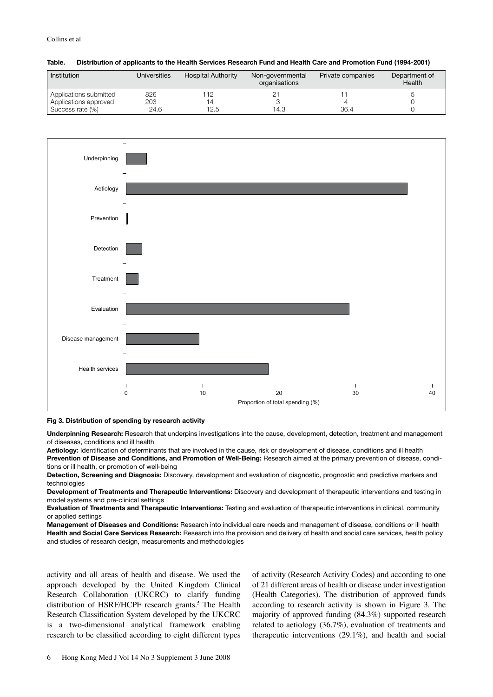| Institution            | Universities | <b>Hospital Authority</b> | Non-governmental<br>organisations | Private companies | Department of<br>Health |
|------------------------|--------------|---------------------------|-----------------------------------|-------------------|-------------------------|
| Applications submitted | 826          | 112                       |                                   |                   |                         |
| Applications approved  | 203          |                           |                                   |                   |                         |
| Success rate (%)       | 24.6         | 12.5                      | 14.3                              | 36.4              |                         |





### **Fig 3. Distribution of spending by research activity**

**Underpinning Research:** Research that underpins investigations into the cause, development, detection, treatment and management of diseases, conditions and ill health

**Aetiology:** Identifcation of determinants that are involved in the cause, risk or development of disease, conditions and ill health **Prevention of Disease and Conditions, and Promotion of Well-Being:** Research aimed at the primary prevention of disease, condi-

tions or ill health, or promotion of well-being **Detection, Screening and Diagnosis:** Discovery, development and evaluation of diagnostic, prognostic and predictive markers and technologies

**Development of Treatments and Therapeutic Interventions:** Discovery and development of therapeutic interventions and testing in model systems and pre-clinical settings

**Evaluation of Treatments and Therapeutic Interventions:** Testing and evaluation of therapeutic interventions in clinical, community or applied settings

**Management of Diseases and Conditions:** Research into individual care needs and management of disease, conditions or ill health **Health and Social Care Services Research:** Research into the provision and delivery of health and social care services, health policy and studies of research design, measurements and methodologies

activity and all areas of health and disease. We used the approach developed by the United Kingdom Clinical Research Collaboration (UKCRC) to clarify funding distribution of HSRF/HCPF research grants.<sup>5</sup> The Health Research Classification System developed by the UKCRC is a two-dimensional analytical framework enabling research to be classified according to eight different types

 activity and all areas of health and disease. We used the of activity (Research Activity Codes) and according to one approach developed by the United Kingdom Clinical of 21 different areas of health or disease under investigation Research Collaboration (UKCRC) to clarify funding (Health Categories). The distribution of approved funds distribution of HSRF/HCPF research grants.<sup>5</sup> The Health according to research activity is shown in Figure 3. The Research Classification System developed by the UKCRC majority of approved funding (84.3%) supported research is a two-dimensional analytical framework enabling related to aetiology (36.7%), evaluation of treatments and research to be classified according to eight different types therapeutic interventions (29.1%), and health and social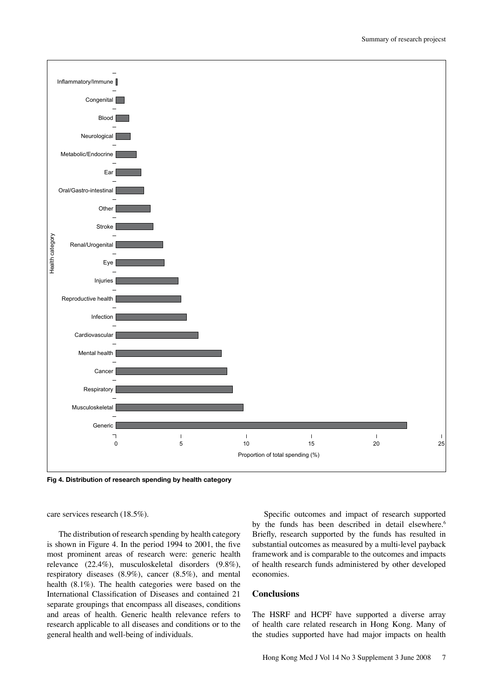

**Fig 4. Distribution of research spending by health category** 

care services research (18.5%).

is shown in Figure 4. In the period 1994 to 2001, the five most prominent areas of research were: generic health relevance (22.4%), musculoskeletal disorders (9.8%), respiratory diseases (8.9%), cancer (8.5%), and mental economies. health (8.1%). The health categories were based on the International Classification of Diseases and contained 21 **Conclusions** separate groupings that encompass all diseases, conditions and areas of health. Generic health relevance refers to research applicable to all diseases and conditions or to the general health and well-being of individuals.

by the funds has been described in detail elsewhere.<sup>6</sup> The distribution of research spending by health category Briefly, research supported by the funds has resulted in is shown in Figure 4. In the period 1994 to 2001, the five substantial outcomes as measured by a multi-level payback most prominent areas of research were: generic health framework and is comparable to the outcomes and impacts relevance (22.4%), musculoskeletal disorders (9.8%), of health research funds administered by other developed Specific outcomes and impact of research supported

 and areas of health. Generic health relevance refers to The HSRF and HCPF have supported a diverse array research applicable to all diseases and conditions or to the of health care related research in Hong Kong. Many of general health and well-being of individuals. the studies supported have had major impacts on health